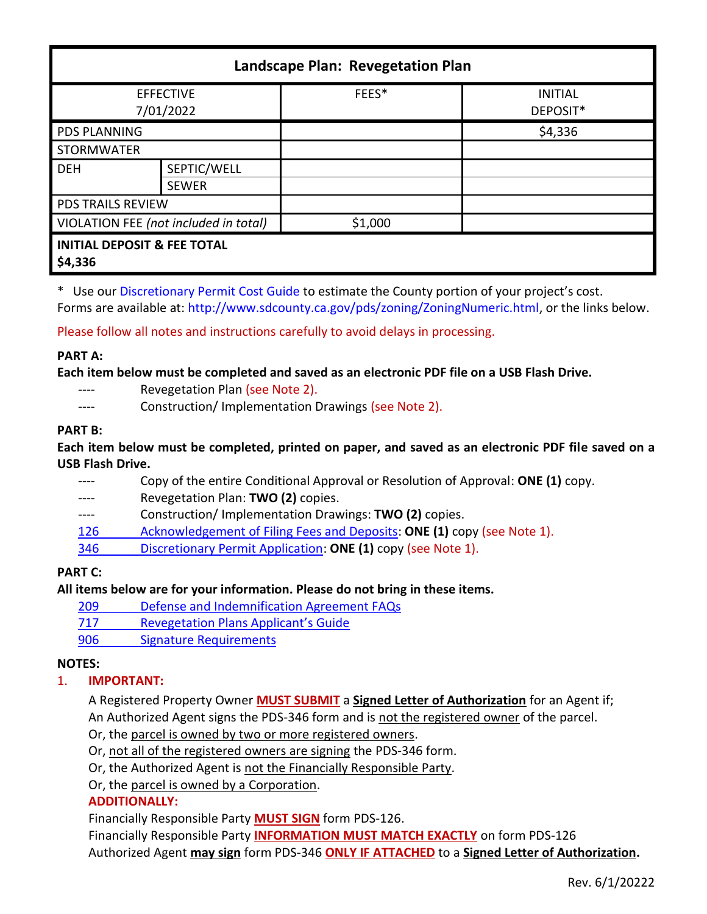| Landscape Plan: Revegetation Plan                 |                             |         |                            |
|---------------------------------------------------|-----------------------------|---------|----------------------------|
| <b>EFFECTIVE</b><br>7/01/2022                     |                             | FEES*   | <b>INITIAL</b><br>DEPOSIT* |
| <b>PDS PLANNING</b>                               |                             |         | \$4,336                    |
| <b>STORMWATER</b>                                 |                             |         |                            |
| <b>DEH</b>                                        | SEPTIC/WELL<br><b>SEWER</b> |         |                            |
| <b>PDS TRAILS REVIEW</b>                          |                             |         |                            |
| VIOLATION FEE (not included in total)             |                             | \$1,000 |                            |
| <b>INITIAL DEPOSIT &amp; FEE TOTAL</b><br>\$4,336 |                             |         |                            |

\* Use ou[r Discretionary Permit Cost Guide](http://www.sandiegocounty.gov/content/dam/sdc/pds/docs/Discretionary_Permit_Cost_Guide.xlsx) to estimate the County portion of your project's cost.

Forms are available at[: http://www.sdcounty.ca.gov/pds/zoning/ZoningNumeric.html,](http://www.sdcounty.ca.gov/pds/zoning/ZoningNumeric.html) or the links below.

Please follow all notes and instructions carefully to avoid delays in processing.

#### **PART A:**

**Each item below must be completed and saved as an electronic PDF file on a USB Flash Drive.**

- ---- Revegetation Plan (see Note 2).
- ---- Construction/Implementation Drawings (see Note 2).

#### **PART B:**

**Each item below must be completed, printed on paper, and saved as an electronic PDF file saved on a USB Flash Drive.**

---- Copy of the entire Conditional Approval or Resolution of Approval: **ONE (1)** copy. ---- Revegetation Plan: **TWO (2)** copies. ---- Construction/ Implementation Drawings: **TWO (2)** copies. [126 Acknowledgement of Filing Fees and Deposits:](http://www.sdcounty.ca.gov/pds/zoning/formfields/PDS-PLN-126.pdf) **ONE (1)** copy (see Note 1). 346 [Discretionary Permit Application:](http://www.sdcounty.ca.gov/pds/zoning/formfields/PDS-PLN-346.pdf) **ONE (1)** copy (see Note 1).

# **PART C:**

**All items below are for your information. Please do not bring in these items.**

- 209 [Defense and Indemnification Agreement FAQs](http://www.sdcounty.ca.gov/pds/zoning/formfields/PDS-PLN-209.pdf)
- 717 [Revegetation Plans Applicant's Guide](http://www.sdcounty.ca.gov/pds/zoning/formfields/PDS-PLN-717.pdf)
- 906 Signature Requirements

## **NOTES:**

## 1. **IMPORTANT:**

A Registered Property Owner **MUST SUBMIT** a **Signed Letter of Authorization** for an Agent if; An Authorized Agent signs the PDS-346 form and is not the registered owner of the parcel.

- Or, the parcel is owned by two or more registered owners.
- Or, not all of the registered owners are signing the PDS-346 form.
- Or, the Authorized Agent is not the Financially Responsible Party.

Or, the parcel is owned by a Corporation.

## **ADDITIONALLY:**

Financially Responsible Party **MUST SIGN** form PDS-126.

Financially Responsible Party **INFORMATION MUST MATCH EXACTLY** on form PDS-126 Authorized Agent **may sign** form PDS-346 **ONLY IF ATTACHED** to a **Signed Letter of Authorization.**